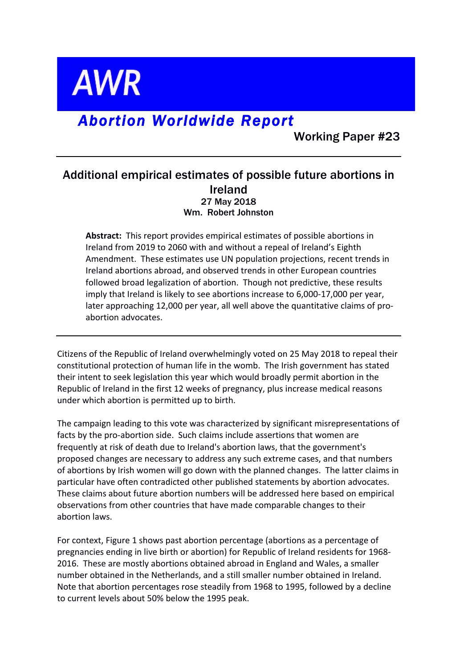**AWR** 

# *Abortion Worldwide Report*

Working Paper #23

# Additional empirical estimates of possible future abortions in Ireland 27 May 2018 Wm. Robert Johnston

**Abstract:** This report provides empirical estimates of possible abortions in Ireland from 2019 to 2060 with and without a repeal of Ireland's Eighth Amendment. These estimates use UN population projections, recent trends in Ireland abortions abroad, and observed trends in other European countries followed broad legalization of abortion. Though not predictive, these results imply that Ireland is likely to see abortions increase to 6,000-17,000 per year, later approaching 12,000 per year, all well above the quantitative claims of proabortion advocates.

Citizens of the Republic of Ireland overwhelmingly voted on 25 May 2018 to repeal their constitutional protection of human life in the womb. The Irish government has stated their intent to seek legislation this year which would broadly permit abortion in the Republic of Ireland in the first 12 weeks of pregnancy, plus increase medical reasons under which abortion is permitted up to birth.

The campaign leading to this vote was characterized by significant misrepresentations of facts by the pro-abortion side. Such claims include assertions that women are frequently at risk of death due to Ireland's abortion laws, that the government's proposed changes are necessary to address any such extreme cases, and that numbers of abortions by Irish women will go down with the planned changes. The latter claims in particular have often contradicted other published statements by abortion advocates. These claims about future abortion numbers will be addressed here based on empirical observations from other countries that have made comparable changes to their abortion laws. 

For context, Figure 1 shows past abortion percentage (abortions as a percentage of pregnancies ending in live birth or abortion) for Republic of Ireland residents for 1968-2016. These are mostly abortions obtained abroad in England and Wales, a smaller number obtained in the Netherlands, and a still smaller number obtained in Ireland. Note that abortion percentages rose steadily from 1968 to 1995, followed by a decline to current levels about 50% below the 1995 peak.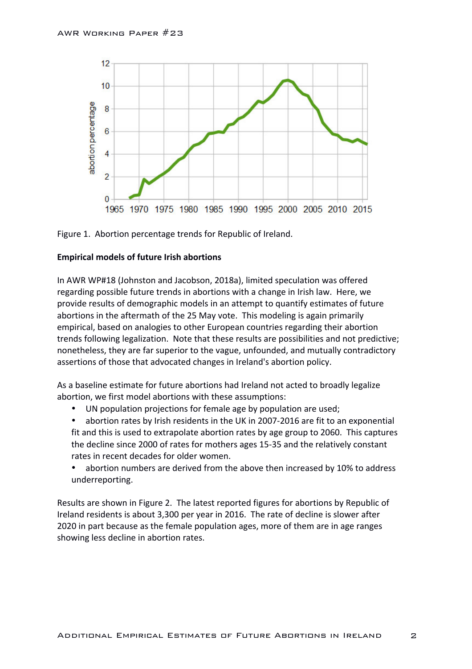



## **Empirical models of future Irish abortions**

In AWR WP#18 (Johnston and Jacobson, 2018a), limited speculation was offered regarding possible future trends in abortions with a change in Irish law. Here, we provide results of demographic models in an attempt to quantify estimates of future abortions in the aftermath of the 25 May vote. This modeling is again primarily empirical, based on analogies to other European countries regarding their abortion trends following legalization. Note that these results are possibilities and not predictive; nonetheless, they are far superior to the vague, unfounded, and mutually contradictory assertions of those that advocated changes in Ireland's abortion policy.

As a baseline estimate for future abortions had Ireland not acted to broadly legalize abortion, we first model abortions with these assumptions:

- UN population projections for female age by population are used;
- abortion rates by Irish residents in the UK in 2007-2016 are fit to an exponential fit and this is used to extrapolate abortion rates by age group to 2060. This captures the decline since 2000 of rates for mothers ages 15-35 and the relatively constant rates in recent decades for older women.
- abortion numbers are derived from the above then increased by 10% to address underreporting.

Results are shown in Figure 2. The latest reported figures for abortions by Republic of Ireland residents is about 3,300 per year in 2016. The rate of decline is slower after 2020 in part because as the female population ages, more of them are in age ranges showing less decline in abortion rates.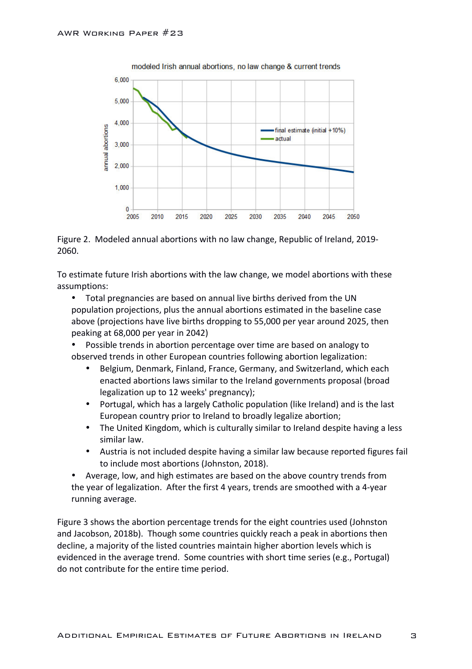

modeled Irish annual abortions, no law change & current trends



To estimate future Irish abortions with the law change, we model abortions with these assumptions:

• Total pregnancies are based on annual live births derived from the UN population projections, plus the annual abortions estimated in the baseline case above (projections have live births dropping to 55,000 per year around 2025, then peaking at 68,000 per year in 2042)

- Possible trends in abortion percentage over time are based on analogy to observed trends in other European countries following abortion legalization:
	- Belgium, Denmark, Finland, France, Germany, and Switzerland, which each enacted abortions laws similar to the Ireland governments proposal (broad legalization up to 12 weeks' pregnancy);
	- Portugal, which has a largely Catholic population (like Ireland) and is the last European country prior to Ireland to broadly legalize abortion;
	- The United Kingdom, which is culturally similar to Ireland despite having a less similar law.
	- Austria is not included despite having a similar law because reported figures fail to include most abortions (Johnston, 2018).

Average, low, and high estimates are based on the above country trends from the year of legalization. After the first 4 years, trends are smoothed with a 4-year running average.

Figure 3 shows the abortion percentage trends for the eight countries used (Johnston and Jacobson, 2018b). Though some countries quickly reach a peak in abortions then decline, a majority of the listed countries maintain higher abortion levels which is evidenced in the average trend. Some countries with short time series (e.g., Portugal) do not contribute for the entire time period.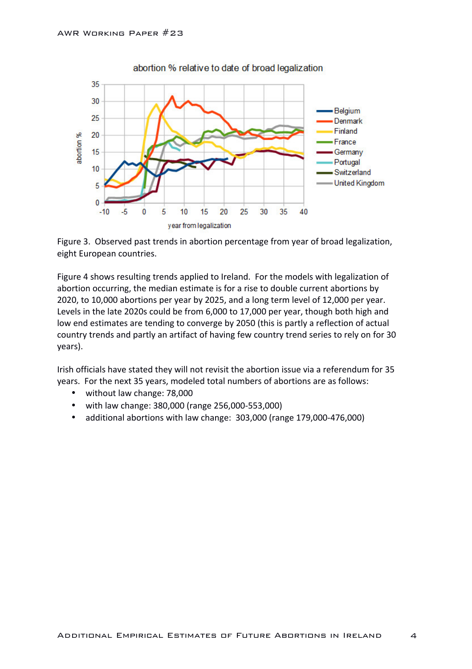

abortion % relative to date of broad legalization

Figure 3. Observed past trends in abortion percentage from year of broad legalization, eight European countries.

Figure 4 shows resulting trends applied to Ireland. For the models with legalization of abortion occurring, the median estimate is for a rise to double current abortions by 2020, to 10,000 abortions per year by 2025, and a long term level of 12,000 per year. Levels in the late 2020s could be from 6,000 to 17,000 per year, though both high and low end estimates are tending to converge by 2050 (this is partly a reflection of actual country trends and partly an artifact of having few country trend series to rely on for 30 years). 

Irish officials have stated they will not revisit the abortion issue via a referendum for 35 years. For the next 35 years, modeled total numbers of abortions are as follows:

- without law change: 78,000
- with law change: 380,000 (range 256,000-553,000)
- additional abortions with law change: 303,000 (range 179,000-476,000)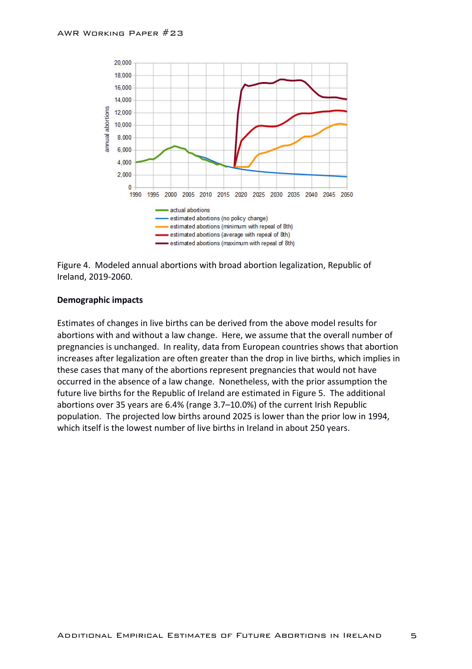

Figure 4. Modeled annual abortions with broad abortion legalization, Republic of Ireland, 2019-2060.

#### **Demographic impacts**

Estimates of changes in live births can be derived from the above model results for abortions with and without a law change. Here, we assume that the overall number of pregnancies is unchanged. In reality, data from European countries shows that abortion increases after legalization are often greater than the drop in live births, which implies in these cases that many of the abortions represent pregnancies that would not have occurred in the absence of a law change. Nonetheless, with the prior assumption the future live births for the Republic of Ireland are estimated in Figure 5. The additional abortions over 35 years are  $6.4\%$  (range  $3.7–10.0\%$ ) of the current Irish Republic population. The projected low births around 2025 is lower than the prior low in 1994, which itself is the lowest number of live births in Ireland in about 250 years.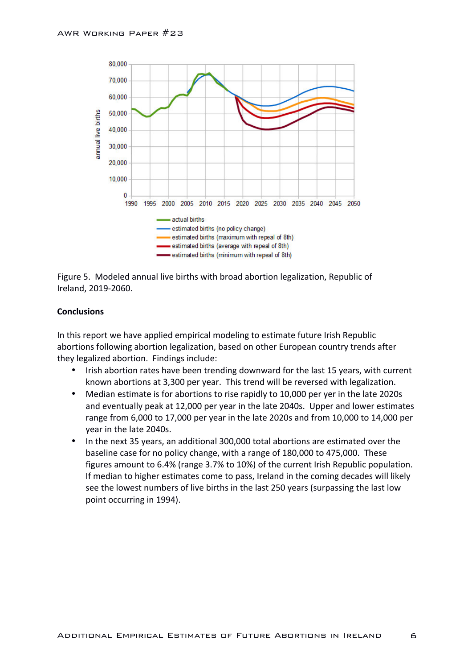

Figure 5. Modeled annual live births with broad abortion legalization, Republic of Ireland, 2019-2060.

## **Conclusions**

In this report we have applied empirical modeling to estimate future Irish Republic abortions following abortion legalization, based on other European country trends after they legalized abortion. Findings include:

- Irish abortion rates have been trending downward for the last 15 years, with current known abortions at 3,300 per year. This trend will be reversed with legalization.
- Median estimate is for abortions to rise rapidly to 10,000 per yer in the late 2020s and eventually peak at 12,000 per year in the late 2040s. Upper and lower estimates range from 6,000 to 17,000 per year in the late 2020s and from 10,000 to 14,000 per year in the late 2040s.
- In the next 35 years, an additional 300,000 total abortions are estimated over the baseline case for no policy change, with a range of 180,000 to 475,000. These figures amount to 6.4% (range 3.7% to 10%) of the current Irish Republic population. If median to higher estimates come to pass, Ireland in the coming decades will likely see the lowest numbers of live births in the last 250 years (surpassing the last low point occurring in 1994).